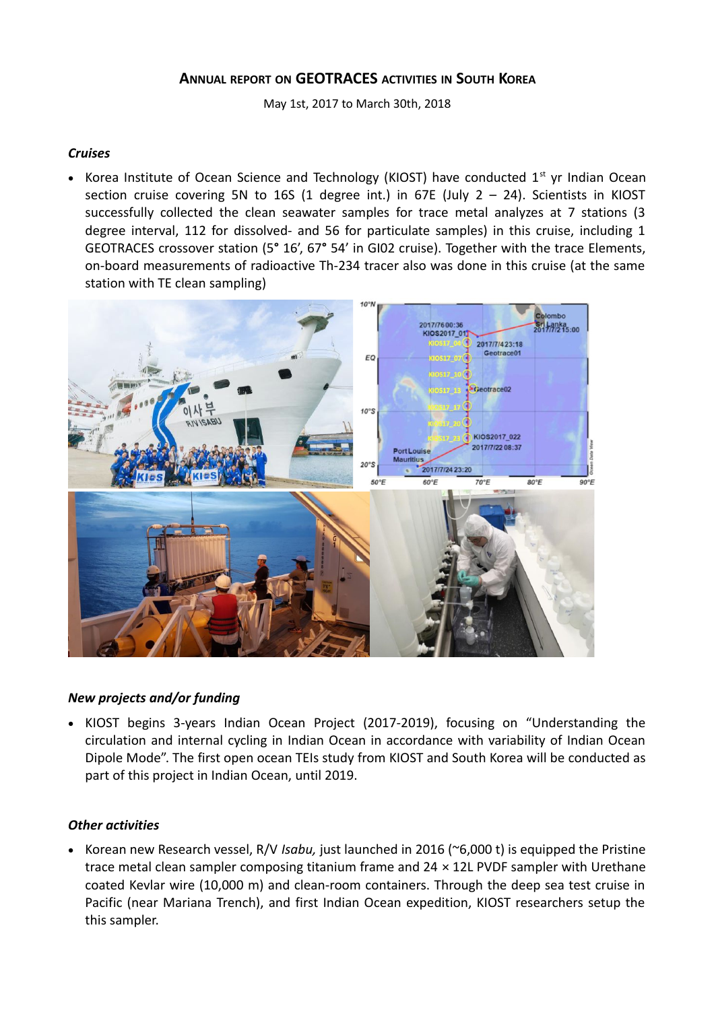## **ANNUAL REPORT ON GEOTRACES ACTIVITIES IN SOUTH KOREA**

May 1st, 2017 to March 30th, 2018

## *Cruises*

• Korea Institute of Ocean Science and Technology (KIOST) have conducted  $1<sup>st</sup>$  yr Indian Ocean section cruise covering 5N to 16S (1 degree int.) in 67E (July  $2 - 24$ ). Scientists in KIOST successfully collected the clean seawater samples for trace metal analyzes at 7 stations (3 degree interval, 112 for dissolved- and 56 for particulate samples) in this cruise, including 1 GEOTRACES crossover station (5**°** 16', 67**°** 54' in GI02 cruise). Together with the trace Elements, on-board measurements of radioactive Th-234 tracer also was done in this cruise (at the same station with TE clean sampling)



## *New projects and/or funding*

• KIOST begins 3-years Indian Ocean Project (2017-2019), focusing on "Understanding the circulation and internal cycling in Indian Ocean in accordance with variability of Indian Ocean Dipole Mode". The first open ocean TEIs study from KIOST and South Korea will be conducted as part of this project in Indian Ocean, until 2019.

## *Other activities*

 Korean new Research vessel, R/V *Isabu,* just launched in 2016 (~6,000 t) is equipped the Pristine trace metal clean sampler composing titanium frame and  $24 \times 12$ L PVDF sampler with Urethane coated Kevlar wire (10,000 m) and clean-room containers. Through the deep sea test cruise in Pacific (near Mariana Trench), and first Indian Ocean expedition, KIOST researchers setup the this sampler.